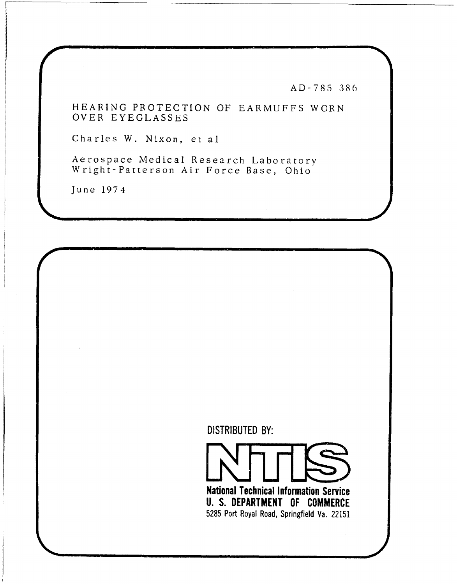AD-785 386

HEARING PROTECTION OF EARMUFFS WORN OVER EYEGLASSES

Charles W. Nixon, et al

Aerospace Medical Research Laboratory Wright-Patterson Air Force Base, Ohio

June 1974

DISTRIBUTED BY:

National Technical Information Service U. S. DEPARTMENT OF COMMERCE 5285 Port Royal Road, Springfield Va. 22151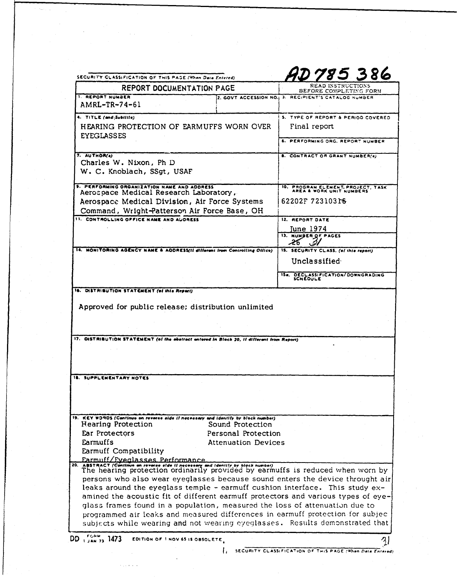| READ INSTRUCTIONS<br><b>REPORT DOCUMENTATION PAGE</b><br>BEFORE COMPLETING FORM<br><b>1. REPORT NUMBER</b><br>2. GOVT ACCESSION NO. 3. RECIPIENT'S CATALOG NUMBER<br>AMRL-TR-74-61<br>4. TITLE (and Sublille)<br>HEARING PROTECTION OF EARMUFFS WORN OVER<br>Final report<br><b>EYEGLASSES</b><br>7. AUTHOR(s)<br><b>B. CONTRACT OR GRANT NUMBER(e)</b><br>Charles W. Nixon, Ph D<br>W. C. Knoblach, SSgt, USAF<br>9. PERFORMING ORGANIZATION NAME AND ADDRESS<br>Aerospace Medical Research Laboratory,<br>62202F723103r6<br>Aerospace Medical Division, Air Force Systems<br>Command, Wright-Patterson Air Force Base, OH<br>11. CONTROLLING OFFICE NAME AND AUDRESS<br>12. REPORT DATE<br>June 1974<br><b>13. NUMBER OF PAGES</b><br>14. MONITORING AGENCY NAME & ADDRESS(II different from Controlling Office)<br>15. SECURITY CLASS. (of this report)<br>Unclassified<br>16. DISTRIBUTION STATEMENT (of this Report).<br>Approved for public release; distribution unlimited<br>17. OISTRIBUTION STATEMENT (of the abstract entered in Block 20, if different from Report)<br><b>18. SUPPLEMENTARY NOTES</b><br>19. KEY WORDS (Continue on reverse side if necessary and identify by block number)<br><b>Hearing Protection</b><br>Sound Protection<br>Ear Protectors<br>Personal Protection<br>Earmuffs<br><b>Attenuation Devices</b><br>Earmuff Compatibility<br>Earmuff/Eveglasses Performance<br>$20.$ ABS<br>ABSTRACT (Continue on reverse efde if necessary and identify by bigck number)<br>The hearing protection ordinarily provided by earmuffs is reduced when worn by<br>persons who also wear eyeglasses because sound enters the device throught air<br>leaks around the eyeglass temple - earmuff cushion interface. This study ex-<br>amined the acoustic fit of different earmuff protectors and various types of eye-<br>glass frames found in a population, measured the loss of attenuation due to<br>programmed air leaks and measured differences in earmuff protection for subjec-<br>subjects while wearing and not wearing eyeglasses. Results demonstrated that<br>FORM<br>$DD_1/m_{73}$ 1473<br>EDITION OF 1 NOV 65 IS OBSOLETE. | SECURITY CLASSIFICATION OF THIS PASE (When Deta Entered) |                                                             |
|------------------------------------------------------------------------------------------------------------------------------------------------------------------------------------------------------------------------------------------------------------------------------------------------------------------------------------------------------------------------------------------------------------------------------------------------------------------------------------------------------------------------------------------------------------------------------------------------------------------------------------------------------------------------------------------------------------------------------------------------------------------------------------------------------------------------------------------------------------------------------------------------------------------------------------------------------------------------------------------------------------------------------------------------------------------------------------------------------------------------------------------------------------------------------------------------------------------------------------------------------------------------------------------------------------------------------------------------------------------------------------------------------------------------------------------------------------------------------------------------------------------------------------------------------------------------------------------------------------------------------------------------------------------------------------------------------------------------------------------------------------------------------------------------------------------------------------------------------------------------------------------------------------------------------------------------------------------------------------------------------------------------------------------------------------------------------------------------------------------------------------------------------------------|----------------------------------------------------------|-------------------------------------------------------------|
|                                                                                                                                                                                                                                                                                                                                                                                                                                                                                                                                                                                                                                                                                                                                                                                                                                                                                                                                                                                                                                                                                                                                                                                                                                                                                                                                                                                                                                                                                                                                                                                                                                                                                                                                                                                                                                                                                                                                                                                                                                                                                                                                                                  |                                                          |                                                             |
|                                                                                                                                                                                                                                                                                                                                                                                                                                                                                                                                                                                                                                                                                                                                                                                                                                                                                                                                                                                                                                                                                                                                                                                                                                                                                                                                                                                                                                                                                                                                                                                                                                                                                                                                                                                                                                                                                                                                                                                                                                                                                                                                                                  |                                                          |                                                             |
|                                                                                                                                                                                                                                                                                                                                                                                                                                                                                                                                                                                                                                                                                                                                                                                                                                                                                                                                                                                                                                                                                                                                                                                                                                                                                                                                                                                                                                                                                                                                                                                                                                                                                                                                                                                                                                                                                                                                                                                                                                                                                                                                                                  |                                                          | 5. TYPE OF REPORT & PERIOD COVERED                          |
|                                                                                                                                                                                                                                                                                                                                                                                                                                                                                                                                                                                                                                                                                                                                                                                                                                                                                                                                                                                                                                                                                                                                                                                                                                                                                                                                                                                                                                                                                                                                                                                                                                                                                                                                                                                                                                                                                                                                                                                                                                                                                                                                                                  |                                                          |                                                             |
|                                                                                                                                                                                                                                                                                                                                                                                                                                                                                                                                                                                                                                                                                                                                                                                                                                                                                                                                                                                                                                                                                                                                                                                                                                                                                                                                                                                                                                                                                                                                                                                                                                                                                                                                                                                                                                                                                                                                                                                                                                                                                                                                                                  |                                                          | 6. PERFORMING ORG. REPORT NUMBER                            |
|                                                                                                                                                                                                                                                                                                                                                                                                                                                                                                                                                                                                                                                                                                                                                                                                                                                                                                                                                                                                                                                                                                                                                                                                                                                                                                                                                                                                                                                                                                                                                                                                                                                                                                                                                                                                                                                                                                                                                                                                                                                                                                                                                                  |                                                          |                                                             |
|                                                                                                                                                                                                                                                                                                                                                                                                                                                                                                                                                                                                                                                                                                                                                                                                                                                                                                                                                                                                                                                                                                                                                                                                                                                                                                                                                                                                                                                                                                                                                                                                                                                                                                                                                                                                                                                                                                                                                                                                                                                                                                                                                                  |                                                          |                                                             |
|                                                                                                                                                                                                                                                                                                                                                                                                                                                                                                                                                                                                                                                                                                                                                                                                                                                                                                                                                                                                                                                                                                                                                                                                                                                                                                                                                                                                                                                                                                                                                                                                                                                                                                                                                                                                                                                                                                                                                                                                                                                                                                                                                                  |                                                          |                                                             |
|                                                                                                                                                                                                                                                                                                                                                                                                                                                                                                                                                                                                                                                                                                                                                                                                                                                                                                                                                                                                                                                                                                                                                                                                                                                                                                                                                                                                                                                                                                                                                                                                                                                                                                                                                                                                                                                                                                                                                                                                                                                                                                                                                                  |                                                          | 10. PROGRAM ELEMENT, PROJECT, TASK AREA & WORK UNIT NUMBERS |
|                                                                                                                                                                                                                                                                                                                                                                                                                                                                                                                                                                                                                                                                                                                                                                                                                                                                                                                                                                                                                                                                                                                                                                                                                                                                                                                                                                                                                                                                                                                                                                                                                                                                                                                                                                                                                                                                                                                                                                                                                                                                                                                                                                  |                                                          |                                                             |
|                                                                                                                                                                                                                                                                                                                                                                                                                                                                                                                                                                                                                                                                                                                                                                                                                                                                                                                                                                                                                                                                                                                                                                                                                                                                                                                                                                                                                                                                                                                                                                                                                                                                                                                                                                                                                                                                                                                                                                                                                                                                                                                                                                  |                                                          |                                                             |
|                                                                                                                                                                                                                                                                                                                                                                                                                                                                                                                                                                                                                                                                                                                                                                                                                                                                                                                                                                                                                                                                                                                                                                                                                                                                                                                                                                                                                                                                                                                                                                                                                                                                                                                                                                                                                                                                                                                                                                                                                                                                                                                                                                  |                                                          |                                                             |
|                                                                                                                                                                                                                                                                                                                                                                                                                                                                                                                                                                                                                                                                                                                                                                                                                                                                                                                                                                                                                                                                                                                                                                                                                                                                                                                                                                                                                                                                                                                                                                                                                                                                                                                                                                                                                                                                                                                                                                                                                                                                                                                                                                  |                                                          |                                                             |
|                                                                                                                                                                                                                                                                                                                                                                                                                                                                                                                                                                                                                                                                                                                                                                                                                                                                                                                                                                                                                                                                                                                                                                                                                                                                                                                                                                                                                                                                                                                                                                                                                                                                                                                                                                                                                                                                                                                                                                                                                                                                                                                                                                  |                                                          |                                                             |
|                                                                                                                                                                                                                                                                                                                                                                                                                                                                                                                                                                                                                                                                                                                                                                                                                                                                                                                                                                                                                                                                                                                                                                                                                                                                                                                                                                                                                                                                                                                                                                                                                                                                                                                                                                                                                                                                                                                                                                                                                                                                                                                                                                  |                                                          |                                                             |
|                                                                                                                                                                                                                                                                                                                                                                                                                                                                                                                                                                                                                                                                                                                                                                                                                                                                                                                                                                                                                                                                                                                                                                                                                                                                                                                                                                                                                                                                                                                                                                                                                                                                                                                                                                                                                                                                                                                                                                                                                                                                                                                                                                  |                                                          |                                                             |
|                                                                                                                                                                                                                                                                                                                                                                                                                                                                                                                                                                                                                                                                                                                                                                                                                                                                                                                                                                                                                                                                                                                                                                                                                                                                                                                                                                                                                                                                                                                                                                                                                                                                                                                                                                                                                                                                                                                                                                                                                                                                                                                                                                  |                                                          | IS. DECLASSIFICATION/DOWNGRADING<br>SCHEDULE                |
|                                                                                                                                                                                                                                                                                                                                                                                                                                                                                                                                                                                                                                                                                                                                                                                                                                                                                                                                                                                                                                                                                                                                                                                                                                                                                                                                                                                                                                                                                                                                                                                                                                                                                                                                                                                                                                                                                                                                                                                                                                                                                                                                                                  |                                                          |                                                             |
|                                                                                                                                                                                                                                                                                                                                                                                                                                                                                                                                                                                                                                                                                                                                                                                                                                                                                                                                                                                                                                                                                                                                                                                                                                                                                                                                                                                                                                                                                                                                                                                                                                                                                                                                                                                                                                                                                                                                                                                                                                                                                                                                                                  |                                                          |                                                             |
|                                                                                                                                                                                                                                                                                                                                                                                                                                                                                                                                                                                                                                                                                                                                                                                                                                                                                                                                                                                                                                                                                                                                                                                                                                                                                                                                                                                                                                                                                                                                                                                                                                                                                                                                                                                                                                                                                                                                                                                                                                                                                                                                                                  |                                                          |                                                             |
|                                                                                                                                                                                                                                                                                                                                                                                                                                                                                                                                                                                                                                                                                                                                                                                                                                                                                                                                                                                                                                                                                                                                                                                                                                                                                                                                                                                                                                                                                                                                                                                                                                                                                                                                                                                                                                                                                                                                                                                                                                                                                                                                                                  |                                                          |                                                             |
|                                                                                                                                                                                                                                                                                                                                                                                                                                                                                                                                                                                                                                                                                                                                                                                                                                                                                                                                                                                                                                                                                                                                                                                                                                                                                                                                                                                                                                                                                                                                                                                                                                                                                                                                                                                                                                                                                                                                                                                                                                                                                                                                                                  |                                                          |                                                             |
|                                                                                                                                                                                                                                                                                                                                                                                                                                                                                                                                                                                                                                                                                                                                                                                                                                                                                                                                                                                                                                                                                                                                                                                                                                                                                                                                                                                                                                                                                                                                                                                                                                                                                                                                                                                                                                                                                                                                                                                                                                                                                                                                                                  |                                                          |                                                             |
|                                                                                                                                                                                                                                                                                                                                                                                                                                                                                                                                                                                                                                                                                                                                                                                                                                                                                                                                                                                                                                                                                                                                                                                                                                                                                                                                                                                                                                                                                                                                                                                                                                                                                                                                                                                                                                                                                                                                                                                                                                                                                                                                                                  |                                                          |                                                             |
|                                                                                                                                                                                                                                                                                                                                                                                                                                                                                                                                                                                                                                                                                                                                                                                                                                                                                                                                                                                                                                                                                                                                                                                                                                                                                                                                                                                                                                                                                                                                                                                                                                                                                                                                                                                                                                                                                                                                                                                                                                                                                                                                                                  |                                                          |                                                             |
|                                                                                                                                                                                                                                                                                                                                                                                                                                                                                                                                                                                                                                                                                                                                                                                                                                                                                                                                                                                                                                                                                                                                                                                                                                                                                                                                                                                                                                                                                                                                                                                                                                                                                                                                                                                                                                                                                                                                                                                                                                                                                                                                                                  |                                                          |                                                             |
|                                                                                                                                                                                                                                                                                                                                                                                                                                                                                                                                                                                                                                                                                                                                                                                                                                                                                                                                                                                                                                                                                                                                                                                                                                                                                                                                                                                                                                                                                                                                                                                                                                                                                                                                                                                                                                                                                                                                                                                                                                                                                                                                                                  |                                                          |                                                             |
|                                                                                                                                                                                                                                                                                                                                                                                                                                                                                                                                                                                                                                                                                                                                                                                                                                                                                                                                                                                                                                                                                                                                                                                                                                                                                                                                                                                                                                                                                                                                                                                                                                                                                                                                                                                                                                                                                                                                                                                                                                                                                                                                                                  |                                                          |                                                             |
|                                                                                                                                                                                                                                                                                                                                                                                                                                                                                                                                                                                                                                                                                                                                                                                                                                                                                                                                                                                                                                                                                                                                                                                                                                                                                                                                                                                                                                                                                                                                                                                                                                                                                                                                                                                                                                                                                                                                                                                                                                                                                                                                                                  |                                                          |                                                             |
|                                                                                                                                                                                                                                                                                                                                                                                                                                                                                                                                                                                                                                                                                                                                                                                                                                                                                                                                                                                                                                                                                                                                                                                                                                                                                                                                                                                                                                                                                                                                                                                                                                                                                                                                                                                                                                                                                                                                                                                                                                                                                                                                                                  |                                                          |                                                             |
|                                                                                                                                                                                                                                                                                                                                                                                                                                                                                                                                                                                                                                                                                                                                                                                                                                                                                                                                                                                                                                                                                                                                                                                                                                                                                                                                                                                                                                                                                                                                                                                                                                                                                                                                                                                                                                                                                                                                                                                                                                                                                                                                                                  |                                                          |                                                             |
|                                                                                                                                                                                                                                                                                                                                                                                                                                                                                                                                                                                                                                                                                                                                                                                                                                                                                                                                                                                                                                                                                                                                                                                                                                                                                                                                                                                                                                                                                                                                                                                                                                                                                                                                                                                                                                                                                                                                                                                                                                                                                                                                                                  |                                                          |                                                             |
|                                                                                                                                                                                                                                                                                                                                                                                                                                                                                                                                                                                                                                                                                                                                                                                                                                                                                                                                                                                                                                                                                                                                                                                                                                                                                                                                                                                                                                                                                                                                                                                                                                                                                                                                                                                                                                                                                                                                                                                                                                                                                                                                                                  |                                                          |                                                             |
|                                                                                                                                                                                                                                                                                                                                                                                                                                                                                                                                                                                                                                                                                                                                                                                                                                                                                                                                                                                                                                                                                                                                                                                                                                                                                                                                                                                                                                                                                                                                                                                                                                                                                                                                                                                                                                                                                                                                                                                                                                                                                                                                                                  |                                                          |                                                             |
|                                                                                                                                                                                                                                                                                                                                                                                                                                                                                                                                                                                                                                                                                                                                                                                                                                                                                                                                                                                                                                                                                                                                                                                                                                                                                                                                                                                                                                                                                                                                                                                                                                                                                                                                                                                                                                                                                                                                                                                                                                                                                                                                                                  |                                                          |                                                             |
|                                                                                                                                                                                                                                                                                                                                                                                                                                                                                                                                                                                                                                                                                                                                                                                                                                                                                                                                                                                                                                                                                                                                                                                                                                                                                                                                                                                                                                                                                                                                                                                                                                                                                                                                                                                                                                                                                                                                                                                                                                                                                                                                                                  |                                                          |                                                             |
|                                                                                                                                                                                                                                                                                                                                                                                                                                                                                                                                                                                                                                                                                                                                                                                                                                                                                                                                                                                                                                                                                                                                                                                                                                                                                                                                                                                                                                                                                                                                                                                                                                                                                                                                                                                                                                                                                                                                                                                                                                                                                                                                                                  |                                                          |                                                             |
|                                                                                                                                                                                                                                                                                                                                                                                                                                                                                                                                                                                                                                                                                                                                                                                                                                                                                                                                                                                                                                                                                                                                                                                                                                                                                                                                                                                                                                                                                                                                                                                                                                                                                                                                                                                                                                                                                                                                                                                                                                                                                                                                                                  |                                                          |                                                             |
|                                                                                                                                                                                                                                                                                                                                                                                                                                                                                                                                                                                                                                                                                                                                                                                                                                                                                                                                                                                                                                                                                                                                                                                                                                                                                                                                                                                                                                                                                                                                                                                                                                                                                                                                                                                                                                                                                                                                                                                                                                                                                                                                                                  |                                                          |                                                             |
|                                                                                                                                                                                                                                                                                                                                                                                                                                                                                                                                                                                                                                                                                                                                                                                                                                                                                                                                                                                                                                                                                                                                                                                                                                                                                                                                                                                                                                                                                                                                                                                                                                                                                                                                                                                                                                                                                                                                                                                                                                                                                                                                                                  |                                                          |                                                             |
|                                                                                                                                                                                                                                                                                                                                                                                                                                                                                                                                                                                                                                                                                                                                                                                                                                                                                                                                                                                                                                                                                                                                                                                                                                                                                                                                                                                                                                                                                                                                                                                                                                                                                                                                                                                                                                                                                                                                                                                                                                                                                                                                                                  |                                                          |                                                             |

والرميد

 $\mathcal{L}_{\mathcal{L}}$ 

 $\frac{1}{2}$ 

**Particularly**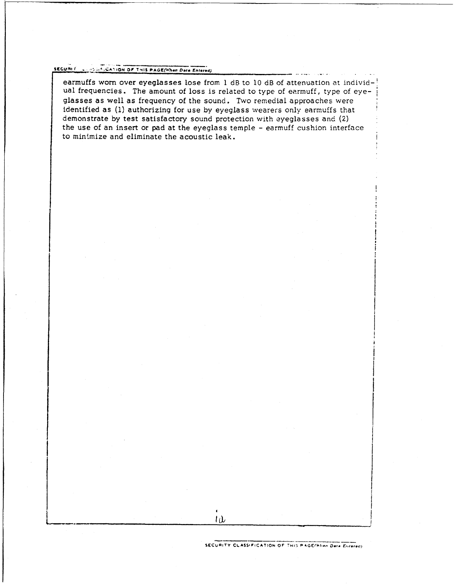# **secu** r . **,rA• ION OF' T.41S PAGZfl47in Date lnteecd)**

earmuffs worn over eyeglasses lose from 1 dB to 10 dB of attenuation at individual frequencies. The amount of loss is related to type of earmuff, type of eyeglasses as well as frequency of the sound. Two remedial approaches were identified as **(1)** authorizing for use by eyeglass wearers only earmuffs that demonstrate by test satisfactory sound protection with eyeglasses and (2) the use of an insert or pad at the eyeglass temple - earmuff cushion interface to minimize and eliminate the acoustic leak.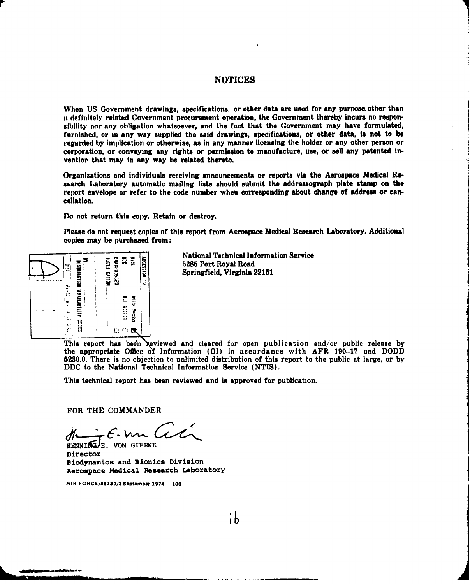### **NOTICES**

When US Government drawings, specifications, or other data are **used** for any purpose. other than a definitely related Government procurement operation, the Government thereby incurs no responsibility nor any obligation whatsoever, and the fact that the Government may have formulated, furnished, or in any way supplied the said drawings, specifications, or other data, is not to be regarded by implication or otherwise, as in any manner licensing the holder or any other person or corporation, or conveying any rights or permission to manufacture, use, or sell any patented invention that may in any way be related thereto.

Organizations and individuals receiving announcements or reports via the Aerospace Medical Research Laboratory automatic mailing lists should submit the addressograph plate stamp on the report envelope or refer to the code number when corresponding about change of address or cancellation.

Do not return this copy. Retain or destroy.

Please do not request copies of this report from Aerospace Medical Research Laboratory. Additional Please do not request copies of



National Technical Information Service<br>  $5285$  Port Royal Road<br>
Springfield, Virginia 22151<br>
Springfield, Virginia 22151 ~ 62815 Port Royal Road  $\frac{2}{\pi}$  **Springfield, Virginia 22151** 

This report has been reviewed and cleared for open publication and/or public release by the appropriate Office of Information (01) in accordance with AFR 190-17 and DODD 5230.0 There is no objection to unlimited distribution of this report to the public at large, or by DDC to the National Technical Information Service (NTIS).

This technical report has been reviewed and is approved for publication.

FOR THE COMMANDER

Humingte. von GERKE

Director Biodynamics and Bionics Division Aerospace Medical Research Laboratory

AIR **FORCE/56780/1 Sepltemor** 1974 **- 100**

¦b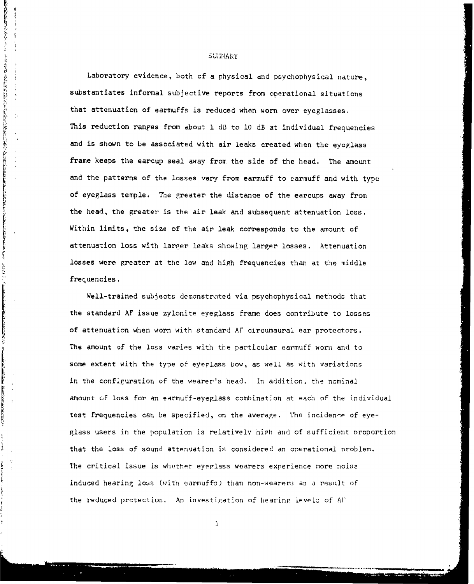#### **SUMMARY**

あんしゃ しょうしゃ

人名英格兰人姓氏法英语含义是古英语含义是古英语含义是古英语的 医皮肤性皮质 医前缀 医动脉 医动脉 医阿尔伯氏试验检尿道检查检查检查检查 医心包 医一种心包

化无色谱法 医异常性的 医血管下腺性的 医血管

أسكانية كالكالتين بمحاشف سأساحت

**Alexandriches** 

ļ

Laboratory evidence, both of a physical and psychophysical nature, substantiates informal subjective reports from operational situations that attenuation of earmuffs is reduced when worn over eyeglasses. This reduction ranges from about 1 **d3** to **10** dB at individual frequencies and is shown to be associated with air leaks created when the eyeglass frame keeps the earcup seal away from the side of the head. The amount and the patterns of the losses vary from earmuff to earmuff and with type of eyeglass temple. The greater the distance of the earcups away from the head, the greater is the air leak and subsequent attenuation loss. Within limits, the size of the air leak corresponds to the amount of attenuation loss with larper leaks showing larger losses. Attenuation losses were greater at the low and high frequencies than at the middle frequencies.

Well-trained subjects demonstrated via psychophysical methods that the standard AF issue zylonite eyeglass frame does contribute to losses of attenuation when worn with standard AF circumaural ear protectors. The amount of the loss varies with the particular earmuff worn and to some extent with the type of eyeplass bow, as well as with variations in the configuration of the wearer's head. In addition, the nominal amount of loss for an earmuff-eyeglass combination at each of the individual test frequencies can be specified, on the average. The incidence of eyeglass users in the population is relatively high and of sufficient proportion that the loss of sound attenuation is considered an operational problem. The critical issue is whether eyeglass wearers experience more noise induced hearing loss (with earmuffs) than non-wearers as a result of the reduced protection. An investigation of hearinp level; of **Al'**

 $\mathbf 1$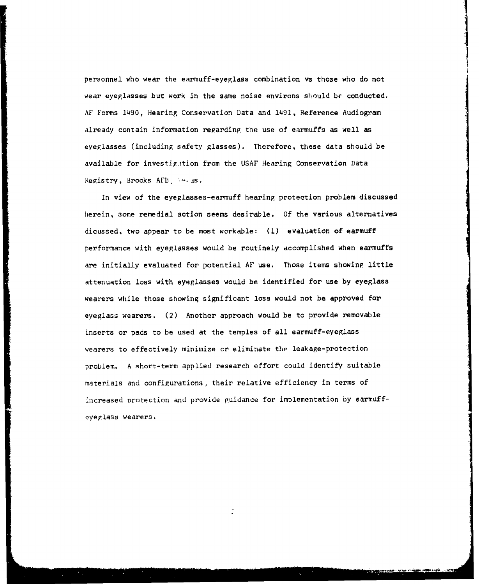personnel who wear the earmuff-eyeglass combination vs those who do not wear eyeglasses but work in the same noise environs should bc conducted. AF Forms 1490, Hearing Conservation Data and 1491, Reference Audiogram already contain information regarding the use of earmuffs as well as eyeglasses (including safety glasses). Therefore, these data should be available for investigition from the USAF Hearing Conservation Data Registry, Brooks AFB, 14.38.

In view of the eyeglasses-earmuff hearing protection problem discussed herein, some remedial action seems desirable. Of the various alternatives dicussed, two appear to be most workable: **(1)** evaluation of earmuff performance with eyeglasses would be routinely accomplished when earmuffs are initially evaluated for potential AF use. Those items showing little attenuation loss with eyeglasses would be identified for use by eyeglass wearers while those showing significant loss would not be approved for eyeglass wearers. (2) Another approach would be to provide removable inserts or pads to be used at the temples of all earmuff-eyeglass wearers to effectively minimize or eliminate the leakage-protection problem. A short-term applied research effort could identify suitable materials and configurations, their relative efficiency in terms of increased Drotection and provide guidance for implementation by earmuffeyeglass wearers.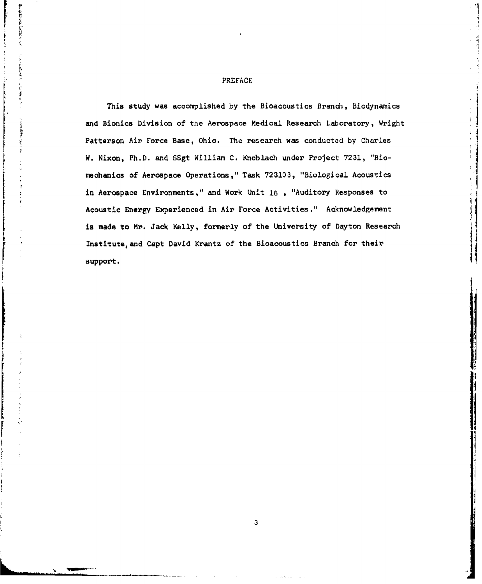#### PREFACE

アーキングバード

This study was accomplished by the Bioacoustics Branch, Biodynamics and Bionics Division of the Aerospace Medical Research Laboratory, Wright •, Patterson Air Force Base, Ohio. The research was conducted **by** Charles **0** W. Nixon, Ph.D. and SSgt William C. Knoblach under Project 7231, "Biomechanics of Aerospace Operations," Task 723103, "Biological Acoustics in Aerospace Environments," and Work Unit **16** , "Auditory Responses to Acoustic Energy Experienced in Air Force Activities." Acknowledgement is made to Mr. Jack Kelly, formerly of the University of Dayton Research Institute, and Capt David Krantz of the Bioacoustics Branch for their support.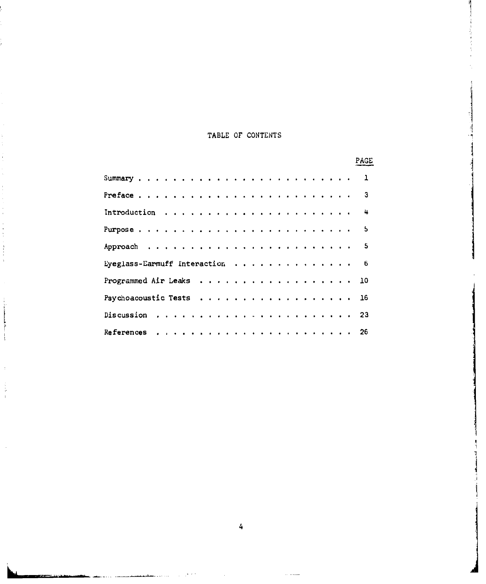# TABLE OF CONTENTS

|                                           | PAGE |
|-------------------------------------------|------|
| Summary , , , , , , , , , , , , , , , , , | 1    |
| Preface                                   | з    |
| Introduction                              | 4    |
|                                           | 5    |
| .<br>Approach                             | 5    |
| Lyeglass-Earmuff Interaction              | 6    |
| .<br>Programmed Air Leaks                 | 10   |
| Psychoacoustic Tests                      | 16   |
| .<br>Discussion                           | 23   |
| <b>References</b>                         | 26   |

÷

فلتعدد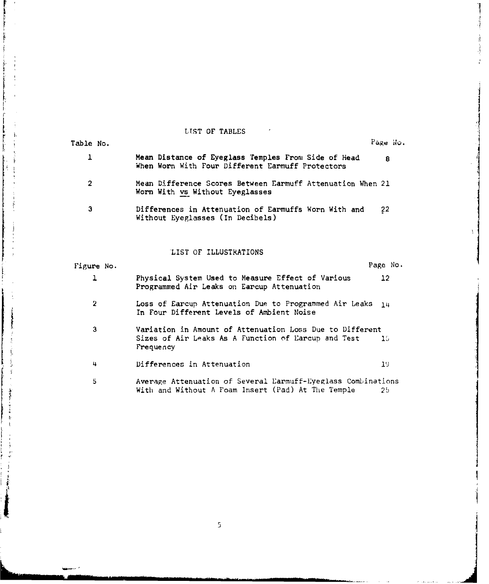LST OF TABLES  $\sim 10^{-10}$ 

À

j.

Ĵ  $\frac{1}{2}$ ţ, 

ţ

 $\ddot{\,}$  $\mathbf{f}$ 

j.

医中国的

'I

Å

| Table No.      |            |                                                                                                                              | Page No. |  |  |  |  |
|----------------|------------|------------------------------------------------------------------------------------------------------------------------------|----------|--|--|--|--|
| 1              |            | Mean Distance of Eyeglass Temples From Side of Head<br>When Worn With Four Different Earmuff Protectors                      | 8        |  |  |  |  |
| $\overline{2}$ |            | Mean Difference Scores Between Earmuff Attenuation When 21<br>Worn With vs Without Eyeglasses                                |          |  |  |  |  |
| З              |            | Differences in Attenuation of Earmuffs Worn With and<br>Without Eyeglasses (In Decibels)                                     | 22       |  |  |  |  |
|                |            | LIST OF ILLUSTRATIONS                                                                                                        |          |  |  |  |  |
|                | Figure No. |                                                                                                                              | Page No. |  |  |  |  |
| ı              |            | Physical System Used to Measure Effect of Various<br>Programmed Air Leaks on Earcup Attenuation                              | 12       |  |  |  |  |
| $\overline{2}$ |            | Loss of Earcup Attenuation Due to Programmed Air Leaks<br>1 <sub>u</sub><br>In Four Different Levels of Ambient Noise        |          |  |  |  |  |
| 3              |            | Variation in Amount of Attenuation Loss Due to Different<br>Sizes of Air Leaks As A Function of Earcup and Test<br>Frequency | 15       |  |  |  |  |
| 4              |            | Differences in Attenuation                                                                                                   | 19       |  |  |  |  |
| 5              |            | Average Attenuation of Several Earmuff-Eyeglass Combinations<br>With and Without A Foam Insert (Pad) At The Temple           | 25       |  |  |  |  |

 $\bar{\rm{5}}$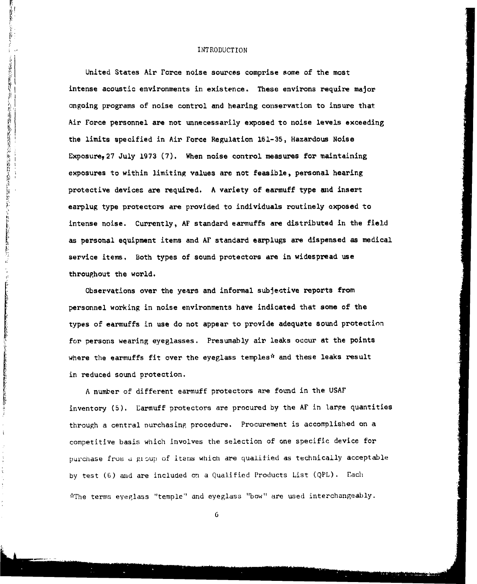#### INTRODUCTION

一个 医子宫

- 京都府2010年4月

医致生的乳状骨折的复数形式 网络教育系统的 网络汽车公司货运运输的货运运运运

**REPORT OF STREET** 

(2) "我们的是我们的情况的是你们的是我们的 (2)。"

 $\ddot{\epsilon}$ 

United States Air Force noise sources comprise some of the most intense acoustic environments in existence. These environs require major ongoing programs of noise control and hearing conservation to insure that Air Force personnel are not unnecessarily exposed to noise levels exceeding the limits specified in Air Force Regulation 161-35, Hazardous Noise Exposure• 27 July 1973 (7). When noise control measures for maintaining exposures to within limiting values are not feasible, personal hearing protective devices are required. A variety of earmuff type and insert earplug type protectors are provided to individuals routinely exposed to intense noise. Currently, **AF** standard earmuffs are distributed in the field as personal equipment items and AF standard earplugs are dispensed as medical service items. Both types of sound protectors are in widespread use throughout the world.

Observations over the years and informal subjective reports from personnel working in noise environments have indicated that some of the types of earmuffs in use do not appear to provide adequate sound protection for persons wearing eyeglasses. Presumably air leaks occur at the points where the earmuffs fit over the eyeglass temples<sup>#</sup> and these leaks result in reduced sound protection.

A number of different earmuff protectors are found in the USAF inventory (5). Larmuff protectors are procured by the AF in large quantities through a central nurchasing procedure. Procurement is accomplished on a competitive basis which involves the selection of one specific device for purchase from a gioup of itams which are qualified as technically acceptable by test (6) and are included on a Qualified Products List (QPL). Each "\*The terms eyeglass "temple" and eyeglass "bow" are used interchangeably.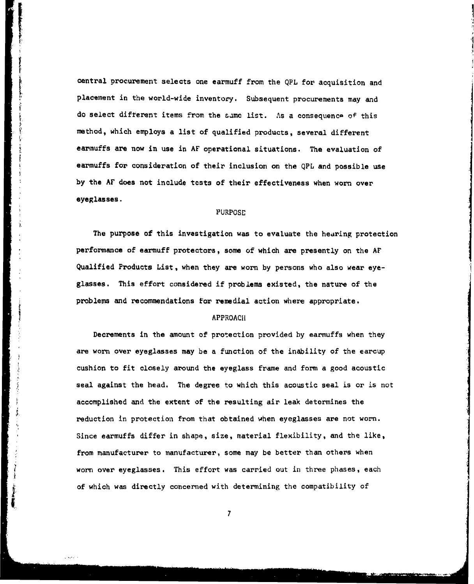central procurement selects one earmuff from the QPL for acquisition and placement in the world-wide inventory. Subsequent procurements may and do select different items from the same list. As a consequence of this method, which employs a list of qualified products, several different earmuffs are now in use in AF operational situations. The evaluation of earmuffs for consideration of their inclusion on the QPL and possible use by the AF does not include tests of their effectiveness when worn over eyeglasses.

#### PURPOSE

The purpose of this investigation was to evaluate the hearing protection performance of earmuff protectors, some of which are presently on the Ar Qualified Products List, when they are worn by persons who also wear eyeglasses. This effort considered if problems existed, the nature of the problems and recommendations for remedial action where appropriate.

## **APPROACH**

 $\mathbf{F}$ 

Decrements in the amount of protection provided by earmuffs when they are worn over eyeglasses may be a function of the inability of the earcup cushion to fit closely around the eyeglass frame and form a good acoustic seal against the head. The degree to which this acoustic seal is or is not accomplished and the extent of the resulting air leak determines the reduction in protection from that obtained when eyeglasses are not worn. Since earmuffs differ in shape, size, material flexibility, and the like, from manufacturer to manufacturer, some may be better than others when worn over eyeglasses. This effort was carried out in three phases, each of which was directed with determining the compatibility of  $\mathcal{L}(\mathcal{L}(\mathcal{L}))$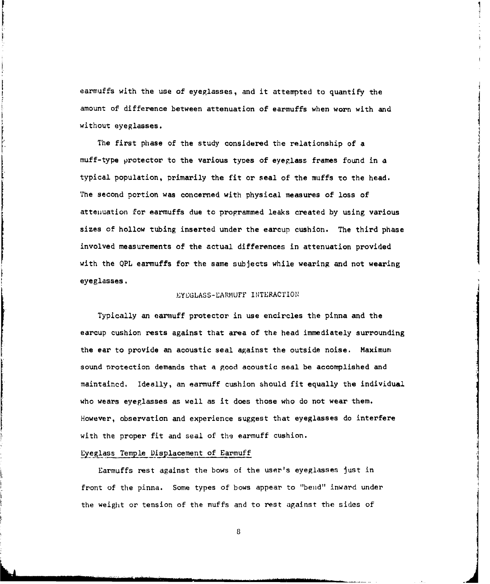earmuffs with the use of eyeglasses, and it attempted to quantify the amount of difference between attenuation of earmuffs when worn with and without eyeglasses.

I

The first phase of the study considered the relationship of a muff-type protector to the various types of eyeglass frames found in a typical population, primarily the fit or seal of the muffs to the head. The second portion was concerned with physical measures of loss of attenuation for earmuffs due to programmed leaks created by using various sizes of hollow tubing inserted under the earcup cushion. The third phase involved measurements of the actual differences in attenuation provided with the **QPL** earmuffs for the same subjects while wearing and not wearing eyeglasses.

#### EYeGLASS-EARMUFF INTERACTION•

Typically an earmuff protector in use encircles the pinna and the earcup cushion rests against that area of the head immediately surrounding the ear to provide an acoustic seal against the outside noise. Maximum sound nrotection demands that a good acoustic seal be accomplished and maintaincd. Ideally, an earmuff cushion should fit equally the individual who wears eyeglasses as well as it does those who do not wear them. However, observation and experience suggest that eyeglasses do interfere with the proper fit and seal of the earmuff cushion.

#### Eyeglass Temple Displacement of Earmuff

Earmuffs rest against the bows of the user's eyeglasses just in front of the pinna. Some types of bows appear to "bend" inward under the weight or tension of the muffs and to rest against the sides of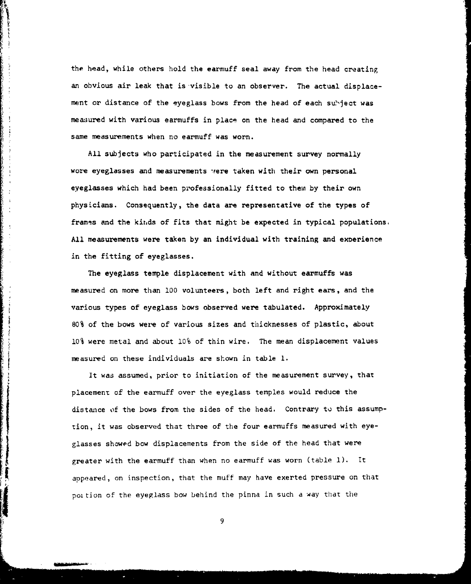the head, while others hold the earmuff seal away from the head creating an obvious air leak that is visible to an observer. The actual displacement or distance of the eyeglass bows from the head of each subject was measured with various earmuffs in place on the head and compared to the same measurements when no earmuff was worn.

 $\ddot{\phantom{a}}$ 

 $\frac{1}{2}$ 

 $\frac{1}{2}$ 

**The Contract Construction of the Construction** 

All subjects who participated in the measurement survey normally wore eyeglasses and measurements were taken with their own personal eyeglasses which had been professionally fitted to them by their own physicians. Consequently, the data are representative of the types of frames and the kinds of fits that might be expected in typical populations. All measurements were taken by an individual with training and experience in the fitting of eyeglasses.

The eyeglass temple displacement with and without earmuffs was measured on more than **100** volunteers, both left and right ears, and the various types of eyeglass bows observed were tabulated. Approximately 80% of the bows were of various sizes and thicknesses of plastic, about 10% were metal and about 10% of thin wire. The mean displacement values measured on these individuals are shown in table I.

It was assumed, prior to initiation of the measurement survey, that placement of the earmuff over the eyeglass temples would reduce the distance of the bows from the sides of the head. Contrary to this assumption, it was observed that three of the four earmuffs measured with eyeglasses showed bow displacements from the side of the head that were greater with the earmuff than when no earmuff was worn (table **1).** It appeared, on inspection, that the muff may have exerted pressure on that poition of the eyeglass bow behind the pinna in such a way that the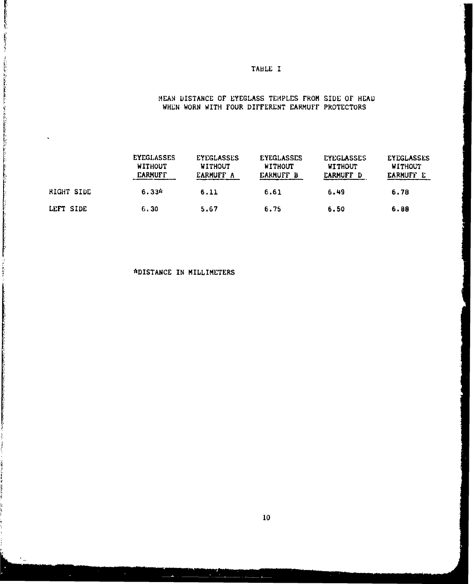## TABLE I

## MEAN DISTANCE OF EYEGLASS TEMPLES FROM SIDE OF HEAD WHEN WORN WITH FOUR DIFFERENT EARMUFF PROTECTORS

|            | <b>EYEGLASSES</b><br><b>WITHOUT</b><br><b><i>EARMUFF</i></b> | <b>EYEGLASSES</b><br><b>WITHOUT</b><br>EARMUFF A | <b>EYEGLASSES</b><br><b>WITHOUT</b><br><b>EARMUFF B</b> | <b>EYEGLASSES</b><br><b>WITHOUT</b><br><b>EARMUFF D</b> | <b>EYEGLASSES</b><br><b>WITHOUT</b><br><b>EARMUFF E</b> |
|------------|--------------------------------------------------------------|--------------------------------------------------|---------------------------------------------------------|---------------------------------------------------------|---------------------------------------------------------|
| RIGHT SIDE | $6.33*$                                                      | 6.11                                             | 6.61                                                    | 6.49                                                    | 6.78                                                    |
| LEFT SIDE  | 6.30                                                         | 5.67                                             | 6.75                                                    | 6.50                                                    | 6.88                                                    |

## \*DISTANCE IN MILLIMETERS

والمرار بوديد بالطالب المراجع المراجع المسائلة<br>الانتقالي المسيح المسائل المسائلة

**"我们的时候,我们的人们的时候,我们的时候,我们的时候,我们的时候我们的时候,我们们的时候,我们们的时候,我们的时候,我们的时候,我们的时候,我们的时候我们的时候,我们的时候,我们的时候,我们的时候,** 

ì.

 $\ddot{\phantom{a}}$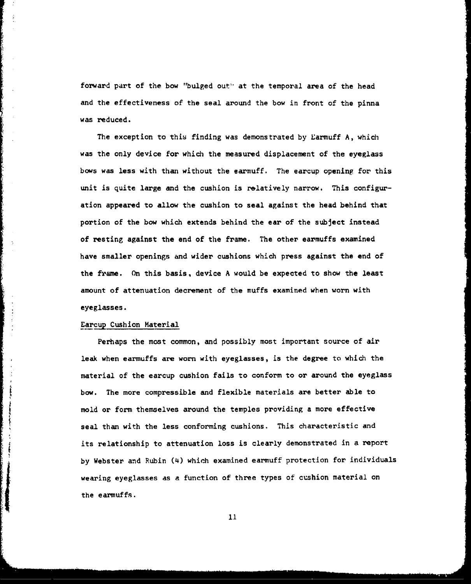forward part of the bow "bulged out" at the temporal area of the head and the effectiveness of the seal around the bow in front of the pinna was reduced.

The exception to this finding was demonstrated by Earmuff A, which was the only device for which the measured displacement of the eyeglass bows was less with than without the earmuff. The earcup opening for this unit is quite large and the cushion is relatively narrow. This configuration appeared to allow the cushion to seal against the head behind that portion of the bow which extends behind the ear of the subject instead of resting against the end of the frame. The other earmuffs examined have smaller openings and wider cushions which press against the end of the frame. On this basis, device A would be expected to show the least amount of attenuation decrement of the muffs examined when worn with eyeglasses.

#### Earcup Cushion Material

 $\ddot{\gamma}$ 

Perhaps the most common, and possibly most important source of air leak when earmuffs are worn with eyeglasses, is the degree to which the material of the earcup cushion fails to conform to or around the eyeglass bow. The more compressible and flexible materials are better able to mold or form themselves around the temples providing a more effective seal than with the less conforming cushions. This characteristic and its relationship to attenuation loss is clearly demonstrated in a report by Webster and Rubin (4) which examined earmuff protection for individuals wearing eyeglasses as a function of three types of cushion material on the earmuffs.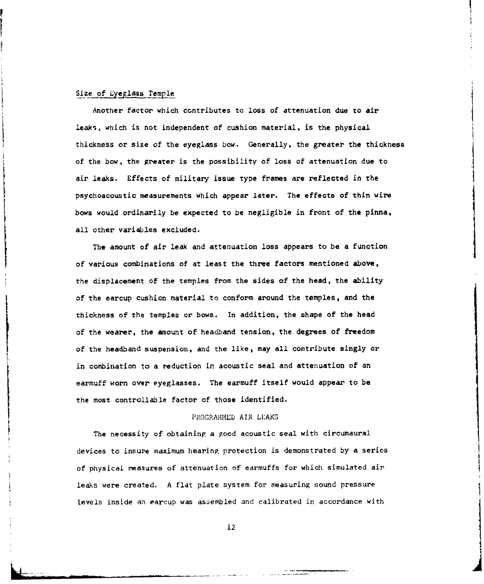#### Size of Lyeglass Temple

Another factor which contributes to loss of attenuation due to air leaks, which is not independent of cushion material, is the physical thickness or size of the eyeglass bow. Generally, the greater the thickness of the bow, the greater is the possibility of loss of attenuation due to air leaks. Effects of military issue type frames are reflected in the psychoacoustic measurements which appear later. The effects of thin wire bows would ordinarily be expected to be negligible in front of the pinna, all other variables excluded.

The amount of air leak and attenuation loss appears to be a function of various combinations of at least the three factors mentioned above, the displacement of the temples from the sides of the head, the ability of the earcup cushion material to conform around the temples, and the thickness of the temples or bows. In addition, the shape of the head of the wearer, the amount of headband tension, the degrees of freedom of the headband suspension, and the like, may all contribute singly or in combination to a reduction in acoustic seal and attenuation of an earmuff worn over eyeglasses. The earmuff itself would appear to be the most controllable factor of those identified.

#### PROGRAMMED AIR LEAKS

The necessity of obtaining a good acoustic seal with circumaural devices to insure maximum hearing protection is demonstrated by a serics of physical measures of attenuation of earmuffs for which simulated air leaks were created. A flat plate system for measuring sound pressure levels inside an earcup was assembled and calibrated in accordance with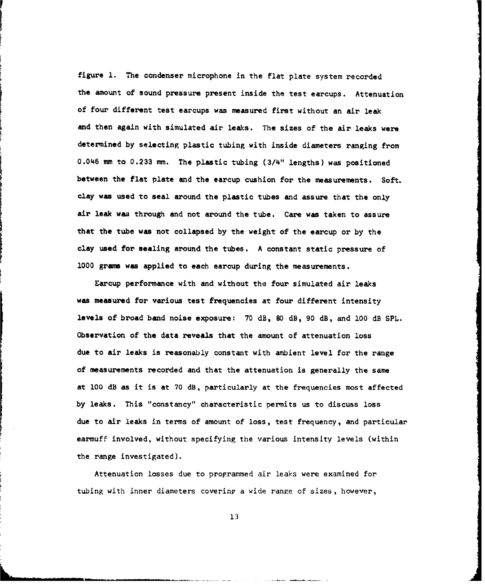figure **1.** The condenser microphone in the flat plate system recorded the amount of sound pressure present inside the test earcups. Attenuation of four different test earcups was measured first without an air leak and then again with simulated air leaks. The sizes of the air leaks were determined by selecting, plastic tubing with inside diameters ranging from 0.046 mm to 0.233 mm. The plastic tubing (3/4" lengths) was positioned between the flat plate and the earcup cushion for the measurements. Soft. clay was used to seal around the plastic tubes and assure that the only air leak was through and not around the tube. Care was taken to assure that the tube was not collapsed by the weight of the earcup or by the clay used for sealing around the tubes. A constant static pressure of 1000 grams was applied to each earcup during the measurements.

Earcup performance with and without the four simulated air leaks was measured for various test frequencies at four different intensity levels of broad band noise exposure: 70 dB, **80** dB, 90 dB, and **100** dB SPL. Observation of the data reveals that the amount of attenuation loss due to air leaks is reasonably constant with ambient level for the range of measurements recorded and that the attenuation is generally the same at **100** dB as it is at 70 dB, particularly at the frequencies most affected by leaks. This "constancy" characteristic permits us to discuss loss due to air leaks in terms of amount of loss, test frequency, and particular earmuff involved, without specifying the various intensity levels (within the range investigated).

Attenuation losses due to proprammed air leaks were examined for tubing with inner diameters covering a wide range of sizes, however,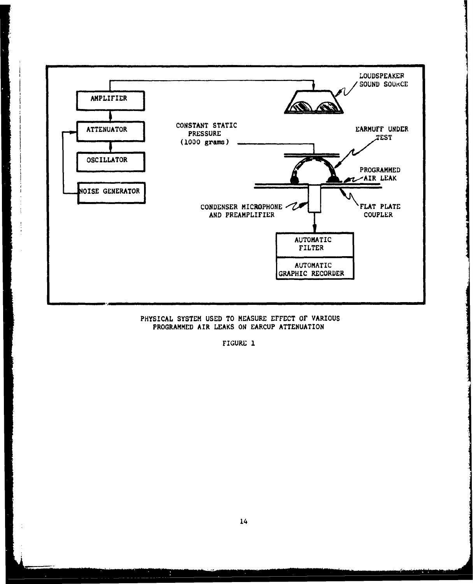

## PHYSICAL SYSTEM **USED** TO **MEASURE** EFFECT OF VARIOUS PROGRAMMED AIR **LEAKS ON EARCUP ATTENUATION**

FIGURE **1**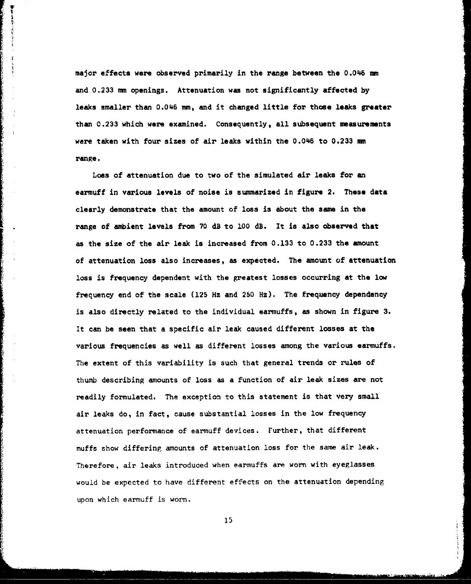major effects were observed primarily in the range between the 0.046 mm and 0.233 mm openings. Attenuation was not significantly affected by leaks smaller than 0.046 mm, and it changed little for those leaks greater than 0.233 which were examined. Consequently, all subsequent measurements were taken with four sizes of air leaks within the 0.046 to 0.233 mm range.

甲をしらす

Loss of attenuation due to two of the simulated air leaks for an earmuff in various levels of noise is summarized in figure 2. These data clearly demonstrate that the amount of loss is about the same in the range of ambient levels from 70 dB to 100 dB. It is also observed that as the size of the air leak is increased from 0.133 to 0.233 the amount of attenuation loss also increases, as expected. The amount of attenuation loss is frequency dependent with the greatest losses occurring at the low frequency end of the scale (125 Hz and 250 Hz). The frequency dependency is also directly related to the individual earmuffs, as shown in figure 3. It can be seen that a specific air leak caused different losses at the various frequencies as well as different losses among the various earmuffs. The extent of this variability is such that general trends or rules of thumb describing amounts of loss as a function of air leak sizes are not readily formulated. The exception to this statement is that very small air leaks do, in fact, cause substantial losses in the low frequency attenuation performance of earmuff devices. Further, that different muffs show differing amounts of attenuation loss for the same air leak. Therefore, air leaks introduced when earmuffs are worn with eyeglasses would be expected to have different effects on the attenuation depending upon which earmuff is worn.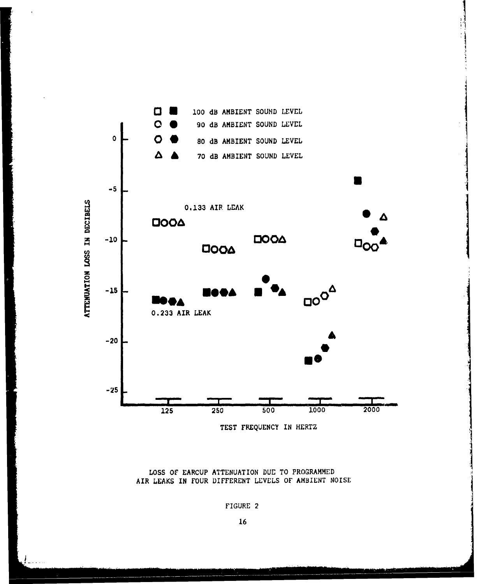

TEST FREQUENCY IN HERTZ

LOSS **Of** EARCUP ATTENUATION DUE TO PROGRAMMED AIR LEAKS IN FOUR DIFFERENT LEVELS OF AMBIENT NOISE

FIGURE 2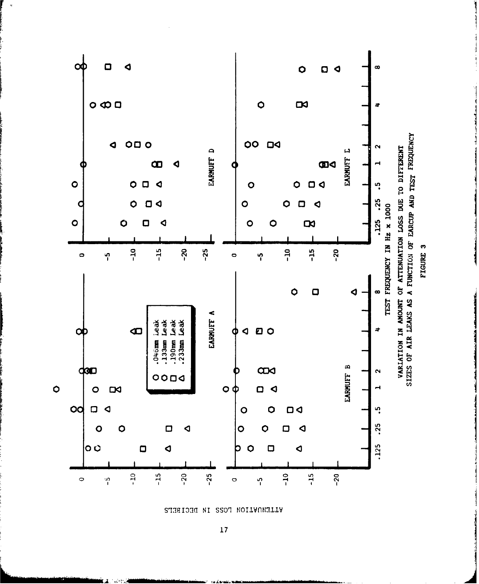

STHEIDHION FORS IN DECIBETS

**17**

∡  $\mathbf{u}^{(n)}$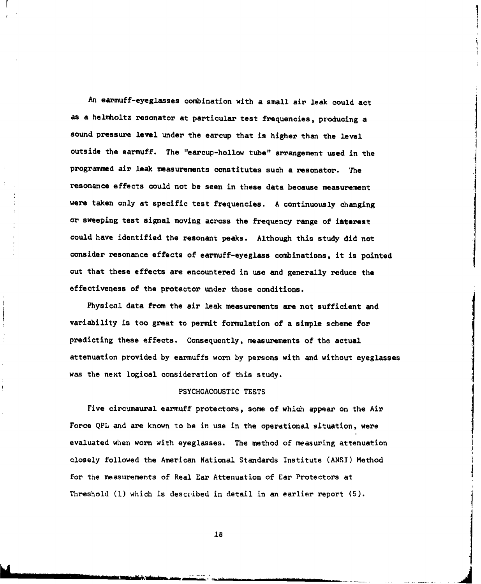An earmuff-eyeglasses combination with a small air leak could act as a helmholtz resonator at particular test frequencies, producing a sound pressure level under the earcup that is higher than the level outside the earmuff. The "earcup-hollow tube" arrangement used in the programmed air leak measurements constitutes such a resonator. The resonance effects could not be seen in these data because measurement were taken only at specific test frequencies. A continuously changing or sweeping test signal moving across the frequency range of interest could have identified the resonant peaks. Although this study did not consider resonance effects of earmuff-eyeglass combinations, it is pointed out that these effects are encountered in use and generally reduce the effectiveness of the protector under those conditions.

Physical data from the air leak measurements are not sufficient and variability is too great to permit formulation of a simple scheme for predicting these effects. Consequently, measurements of the actual attenuation provided by earmuffs worn by persons with and without eyeglasses was the next logical consideration of this study.

#### PSYCHOACOUSTIC TESTS

Five circumaural earmuff protectors, some of which appear on the Air Force QPL and are known to be in use in the operational situation, were evaluated when worn with eyeglasses. The method of measuring attenuation closely followed the American National Standards Institute (ANSI) Method for the measurements of Real Ear Attenuation of Ear Protectors at Threshold (1) which is described in detail in an earlier report (5).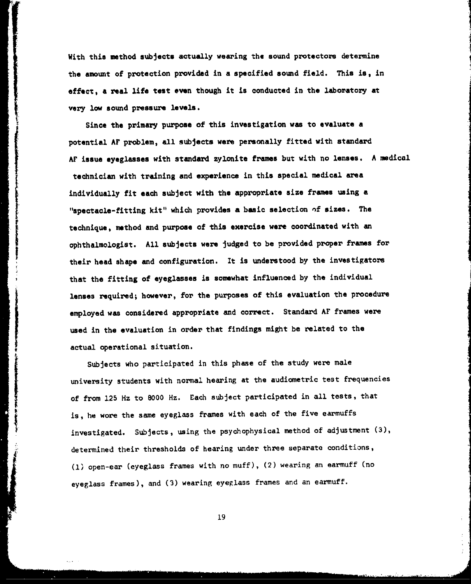With this method subjects actually wearing the sound protectors determine the amount of protection provided in a specified sound field. This is, in effect, a real life test even though it is conducted in the laboratory at very low sound pressure levels.

Since the primary purpose of this investigation was to evaluate a potential AF problem, all subjects were personally fitted with standard AF issue eyeglasses with standard zylonite frames but with no lenses. A medical technician with training and experience in this special medical area individually fit each subject with the appropriate size frames using a "spectacle-fitting kit" which provides a basic selection **of** sizes. The technique, method and purpose of this exercise were coordinated with an ophthalmologist. All subjects were judged to be provided proper frames for their head shape and configuration. It is understood by the investigators that the fitting of eyeglasses is somewhat influenced by the individual lenses required; however, for the purposes of this evaluation the procedure employed was considered appropriate and correct. Standard AF frames were used in the evaluation in order that findings might be related to the actual operational situation.

Subjects who participated in this phase of the study were male university students with normal hearing at the audiometric test frequencies of from **125** Hz to **8000** Hz. Each subject participated in all tests, that of from 125 Hz to 8000 Hz. Each subject participated in all tests. is, he wore the same eyeglass frames with each of the five earmuffs investigated. Subjects, using the psychophysical method of adjustment (3), determined their thresholds of hearing under three separate conditions, (1) open-ear (eyeglass frames with no muff), (2) wearing an earmuff (no eyeglass frames), and (3) wearing eyeglass frames and an earmuff.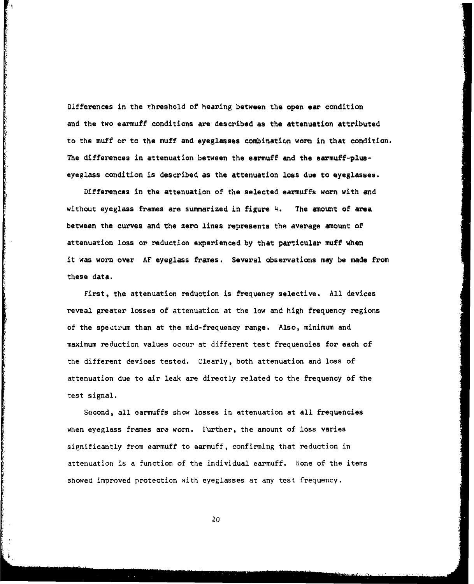Differences in the threshold of hearing between the open ear condition and the two earmuff conditions are described as the attenuation attributed to the muff or to the muff and eyeglasses combination worn in that condition. The differences in attenuation between the earmuff and the earmuff-pluseyeglass condition is described as the attenuation loss due to eyeglasses.

Differences in the attenuation of the selected earmuffs worn with and without eyeglass frames are summarized in figure 4. The amount of area between the curves and the zero lines represents the average amount of attenuation loss or reduction experienced by that particular muff when it was worn over AF eyeglass frames. Several observations may be made from these data.

First, the attenuation reduction is frequency selective. All devices reveal greater losses of attenuation at the low and high frequency regions of the spectrum than at the mid-frequency range. Also, minimum and maximum reduction values occur at different test frequencies for each of the different devices tested. Clearly, both attenuation and loss of attenuation due to air leak are directly related to the frequency of the test signal.

Second, all earmuffs show losses in attenuation at all frequencies when eyeglass frames ara worn. Further, the amount of loss varies significantly from earmuff to earmuff, confirming that reduction in attenuation is a function of the individual earmuff. None of the items showed improved protection with eyeglasses at any test frequency.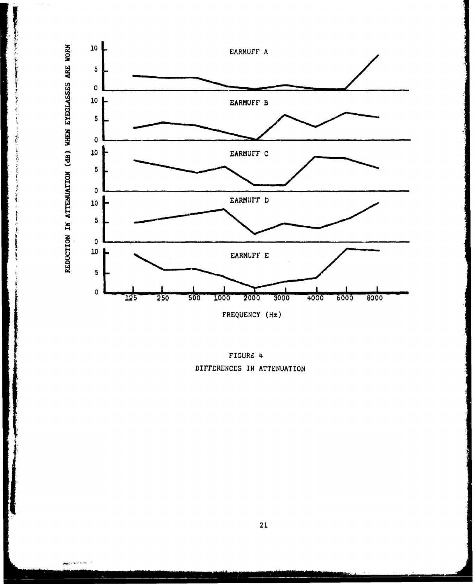

通知 医胃病的

Adolf 19

Ï

ć

FIGURE 4 DIFFERENCES IN ATTENUATION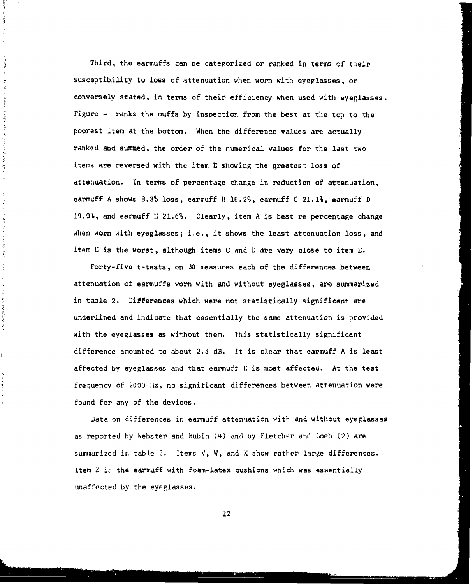Third, the earmuffs can be categorized or ranked in terms of their susceptibility to loss of attenuation when worn with eyeglasses, or conversely stated, in terms of their efficiency when used with eyeglasses. Figure 4 ranks the muffs by inspection from the best at the top to the poorest item at the bottom. When the difference values are actually ranked and summed, the order of the numerical values for the last two items are reversed with the item E showing the greatest loss of attenuation. In terms of percentage change in reduction of attenuation, earmuff A shows 8.3% loss, earmuff B 16.2%, earmuff C 21.1%, earmuff **D** 19.9%, and earmuff **E** 21.6%. Clearly, item A is best re percentage change when worn with eyeglasses; i.e., it shows the least attenuation loss, and item **E** is the worst, although items C and D are very close to item L.

 $\frac{1}{2}$  $\sim 10^{11}$ 

> Ą  $\ddot{\psi}$  $\tilde{\boldsymbol{\gamma}}$

计多型图 医氯化苯基甲基 指示于法律的变形 医无子宫 医皮肤发育 的复数人名英格兰人姓氏

医子宫内

医皮肤 医中间性

 $\frac{1}{\sqrt{2}}$ 

**CONTRACTOR** 

 $\frac{1}{2}$ 

ì,

空气

 $\lambda$ 

Forty-five t-tests, on 30 measures each of the differences between attenuation of earmuffs worn with and without eyeglasses, are summarized in table 2. Differences which were not statistically significant are underlined and indicate that essentially the same attenuation is provided with the eyeglasses as without them. This statistically significant difference amounted to about 2.5 dB. It is clear that earmuff A is least affected by eyeglasses and that earmuff **E** is most affected. At the test frequency of 2000 Hz, no significant differences between attenuation were found for any of the devices.

Data on differences in earmuff attenuation with and without eyeglasses as reported by Webster and Rubin (4) and by Fletcher and Loeb (2) are summarized in table 3. Items V, W, and X show rather large differences. Item *Z* is the earmuff with foam-latex cushions which was essentially unaffected by the eyeglasses.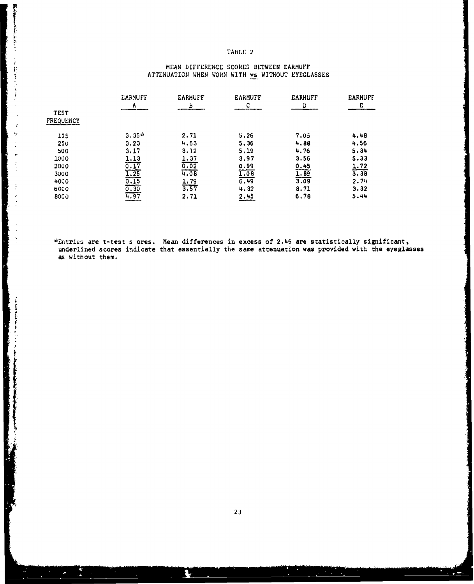## TABLE 2

## MEAN DIFFERENCE SCORES BETWEEN EARMUFF ATTENUATION WHEN WORN WITH vs WITHOUT EYEGLASSES

|                   | <b><i>EARMUFF</i></b> | <b><i>EARMUFF</i></b> | <b>EARMUFF</b>    | <b>EARMUFF</b><br>n | <b>EARMUFF</b>      |
|-------------------|-----------------------|-----------------------|-------------------|---------------------|---------------------|
| TEST<br>FREQUENCY | Α                     | Ь                     | C                 |                     |                     |
| 125               | $3.35*$               | 2.71                  | 5.26              | 7.05                | 4.48                |
| 250               | 3.23                  | 4.63                  | 5.36              | 4.88                | 4.56                |
| 500               | 3.17                  | 3.12                  | 5,19              | 4.76                | 5.34                |
| 1000              | <u>1.13</u>           | 1.37                  | 3.97              | 3.56                | 5.33                |
| 2000              | $\frac{0.17}{1.25}$   | 0.02                  | 0.99              | 0.45                |                     |
| 3000              |                       | 4.08                  | $\overline{1.08}$ | $\frac{1.89}{3.09}$ | $\frac{1.72}{3.38}$ |
| 4000              |                       |                       | 6.49              |                     | 2.7%                |
| 6000              | $0.15$<br>$0.30$      | $\frac{1.79}{3.57}$   | 4.32              | 8.71                | 3.32                |
| 8000              | 4.97                  | 2.71                  | 2.45              | 6.78                | 5.44                |

■WebMannerの本語の指摘との ( ) こうきゅうきょう スクタイン

 $\frac{1}{4}$ ķ

i<br>I

**International Control** 

"\*Entries are t-test s ores. Mean differences in excess of **2.46** are statistically significant, underlined scores indicate that essentially the same attenuation was provided with the eyeglasses as without them.

 $\mathcal{L}$ 

 $\frac{1}{2}$ 

للخائط

N

 $\mathbf{r}$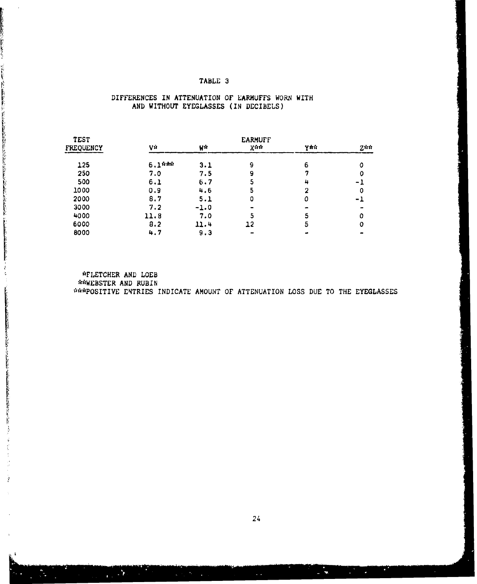## TABLE 3

## DIFFERENCES IN ATTENUATION OF EARMUFFS WORN WITH AND WITHOUT EYEGLASSES (IN DECIBELS)

2000年10月12日には今のアートにのいた。1901年4月1日に1902年に、1902年4月1日に2月1日には1902年に1902年に1902年1月1日に4月1日に1902年に1902年に1902年 10月1日に190

- 「SANKANSER」とは、「SANKANSER」ということによっている。 こうしょうしょう こうしょう こうしょう こうしょう こうしょう アイ・コン・コン・コン・コン しょうしょう

 $\hat{r}$ 

| <b>TEST</b> | <b>EARMUFF</b> |        |     |            |                |
|-------------|----------------|--------|-----|------------|----------------|
| FREQUENCY   | Vŵ             | Wŵ     | Xŵŵ | <b>YRS</b> | $2$ is it      |
| 125         | $6.1$ ithit    | 3.1    | 9   | 6          |                |
| 250         | 7.0            | 7.5    | 9   |            |                |
| 500         | 6.1            | 6.7    | כ   | 4          | $\blacksquare$ |
| 1000        | 0.9            | 4.6    |     |            |                |
| 2000        | 8.7            | 5.1    | 0   | ٥          | - 1            |
| 3000        | 7.2            | $-1.0$ |     |            |                |
| 4000        | 11.8           | 7.0    |     |            |                |
| 6000        | 8.2            | 11.4   | 12  | 5          |                |
| 8000        | 4.7            | 9.3    |     |            |                |
|             |                |        |     |            |                |

"\*FLETCHER AND LOEB \*\*WEBSTER AND RUBIN \*•"IPOSITIVE ENTRIES INDICATE AMOUNT OF ATTENUATION LOSS DUE TO THE EYEGLASSES

24

a a shekara ta 1972 a 1972 a 1972 a 1972 a 1972 a 1972 a 1972 a 1972 a 1972 a 1972 a 1972 a 1972 a 1972 a 197<br>Daoine an t-Iomraid ann an 1972 an t-Iomraid ann an 1972 an 1972 an 1972 an 1972 an 1972 an 1972 an 1972 an 19

a a shi a shekarar a tarafin

فنا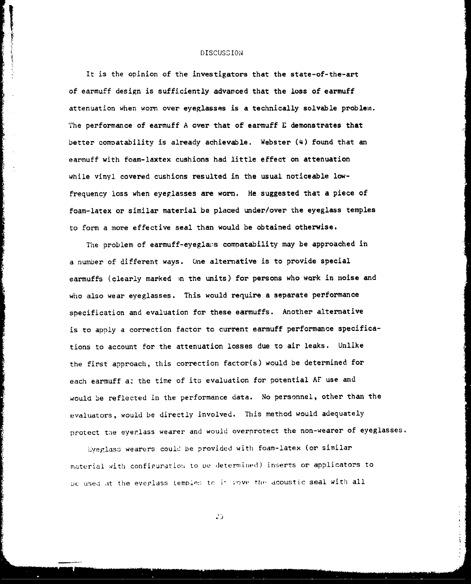#### DISCUSS ION

It is the opinion of the investigators that the state-of-the-art of earmuff design is sufficiently advanced that the loss of earmuff attenuation when worn over eyeglasses is a technically solvable problem. The performance of earmuff A over that of earmuff E demonstrates that better comnatability is already achievable. Webster (4) found that an earmuff with foam-laxtex cushions had little effect on attenuation while vinyl covered cushions resulted in the usual noticeable lowfrequency loss when eyeglasses are worn. He suggested that a piece of foam-latex or similar material be placed under/over the eyeglass temples to form a more effective seal than would be obtained otherwise.

The problem of earmuff-eyeglaxs compatability may be approached in a number of different ways. One alternative is to provide special earmuffs (clearly marked )n the units) for persons who work in noise and who also wear eyeglasses. This would require a separate performance specification and evaluation for these earmuffs. Another alternative is to apply a correction factor to current earmuff performance specifications to account for the attenuation losses due to air leaks. Unlike the first approach, this correction factor(s) would be determined for each earmuff at the time of its evaluation for potential AF use and would be reflected in the performance data. No personnel, other than the evaluators, would be directly involved. This method would adequately protect tne eyerlass wearer and would overprotect the non-wearer of eyeglasses.

Eveglass wearers could be provided with foam-latex (or similar material with configuration to be determined) inserts or applicators to be used at the eveplass temples to *j- yove the acoustic seal with all*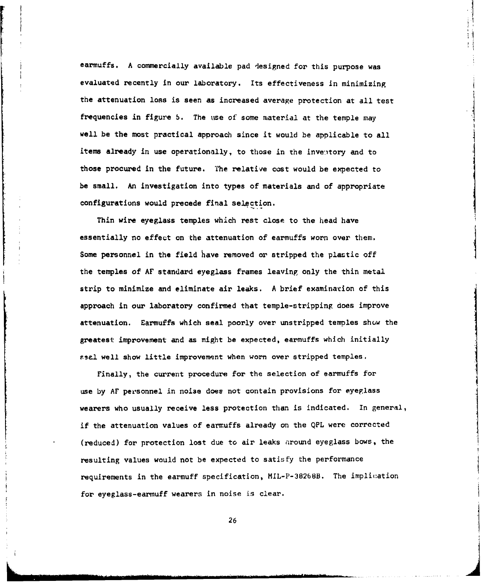earmuffs. A commercially available pad designed for this purpose was evaluated recently in our laboratory. Its effectiveness in minimizing the attenuation loss is seen as increased average protection at all test frequencies in figure **5.** The use of some material at the temple may well be the most practical approach since it would be applicable to all items already in use operationally, to those in the inventory and to those procured in the future. The relative cost would be expected to be small. An investigation into types of materials and of appropriate configurations would precede final selection.

Thin wire eyeglass temples which rest close to the head have essentially no effect on the attenuation of earmuffs worn over them. Some personnel in the field have removed or stripped the plastic off the temples of AF standard eyeglass frames leaving only the thin metal strip to minimize and eliminate air leaks. A brief examination of this approach in our laboratory confirmed that temple-stripping does improve attenuation. Earmuffs which seal poorly over unstripped temples show the greatest improvement and as might be expected, earmuffs which initially attenuation. Earmuffs which seal poorly over unstripped temples show the<br>greatest improvement and as might be expected, earmuffs which initially<br>ssal well show little improvement when worn over stripped temples.

Finally, the current procedure for the selection of earmuffs for use by AF personnel in noise does not contain provisions for eyeglass wearers who usually receive less protection than is indicated. In general, if the attenuation values of earmuffs already on the QPL were corrected (reduced) for protection lost due to air leaks nround eyeglass bows, the resulting values would not be expected to satisfy the performance requirements in the earmuff specification, MIL-P-382b8B. The implic:ation for eyeglass-earmuff wearers in noise is clear.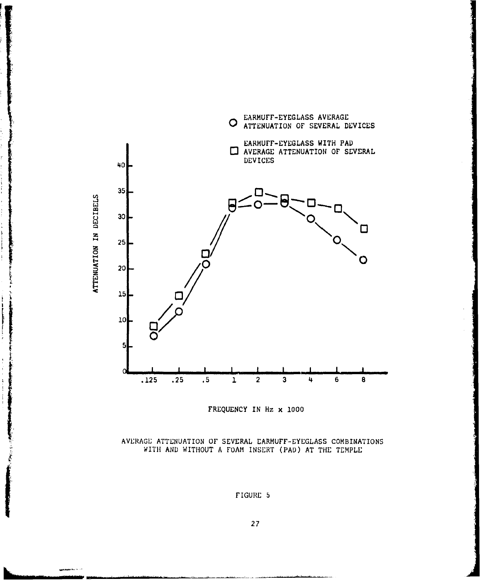

FREQUENCY IN Hz x 1000

AVERAGE ATTENUATION OF SEVERAL EARMUFF-EYEGLASS COMBINATIONS WITH AND WITHOUT A FOAM INSERT (PAD) AT THE TEMPLE

FIGURE 5